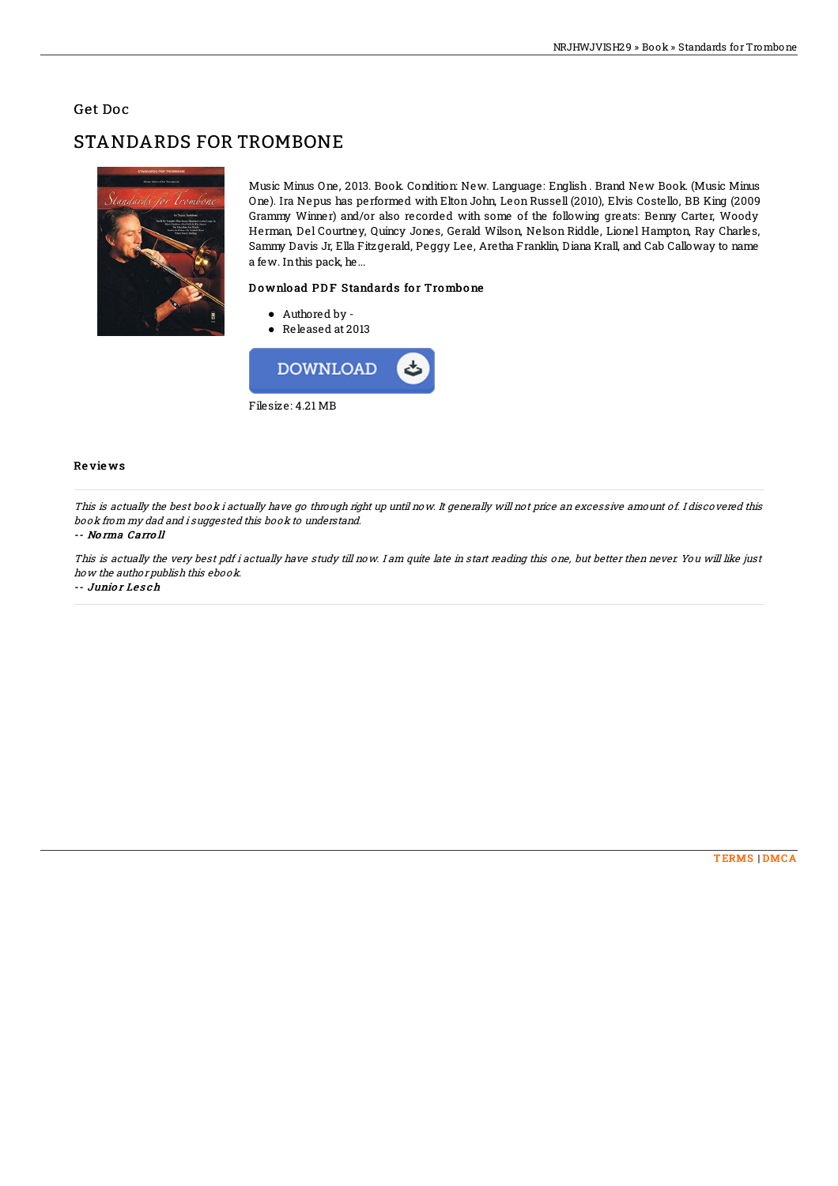## Get Doc

# STANDARDS FOR TROMBONE



Music Minus One, 2013. Book. Condition: New. Language: English . Brand New Book. (Music Minus One). Ira Nepus has performed with Elton John, Leon Russell (2010), Elvis Costello, BB King (2009 Grammy Winner) and/or also recorded with some of the following greats: Benny Carter, Woody Herman, Del Courtney, Quincy Jones, Gerald Wilson, Nelson Riddle, Lionel Hampton, Ray Charles, Sammy Davis Jr, Ella Fitzgerald, Peggy Lee, Aretha Franklin, Diana Krall, and Cab Calloway to name a few. Inthis pack, he...

### Download PDF Standards for Trombone

- Authored by -
- Released at 2013



#### Re vie ws

This is actually the best book i actually have go through right up until now. It generally will not price an excessive amount of. I discovered this book from my dad and i suggested this book to understand.

#### -- No rma Carro ll

This is actually the very best pdf i actually have study till now. I am quite late in start reading this one, but better then never. You will like just how the author publish this ebook.

-- Junio <sup>r</sup> Le s ch